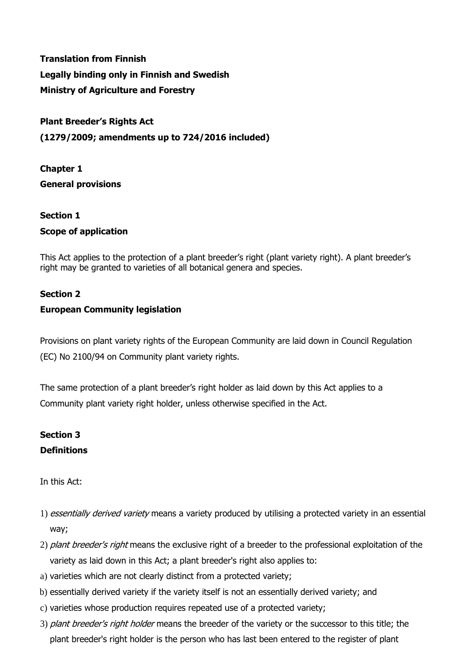**Translation from Finnish Legally binding only in Finnish and Swedish Ministry of Agriculture and Forestry**

**Plant Breeder's Rights Act (1279/2009; amendments up to 724/2016 included)**

**Chapter 1 General provisions**

## **Section 1 Scope of application**

This Act applies to the protection of a plant breeder's right (plant variety right). A plant breeder's right may be granted to varieties of all botanical genera and species.

### **Section 2**

### **European Community legislation**

Provisions on plant variety rights of the European Community are laid down in Council Regulation (EC) No 2100/94 on Community plant variety rights.

The same protection of a plant breeder's right holder as laid down by this Act applies to a Community plant variety right holder, unless otherwise specified in the Act.

## **Section 3 Definitions**

In this Act:

- 1) essentially derived variety means a variety produced by utilising a protected variety in an essential way;
- 2) plant breeder's right means the exclusive right of a breeder to the professional exploitation of the variety as laid down in this Act; a plant breeder's right also applies to:
- a) varieties which are not clearly distinct from a protected variety;
- b) essentially derived variety if the variety itself is not an essentially derived variety; and
- c) varieties whose production requires repeated use of a protected variety;
- 3) plant breeder's right holder means the breeder of the variety or the successor to this title; the plant breeder's right holder is the person who has last been entered to the register of plant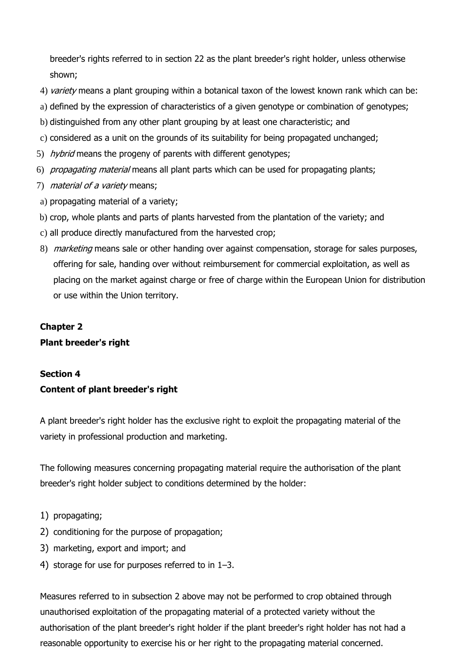breeder's rights referred to in section 22 as the plant breeder's right holder, unless otherwise shown;

- 4) variety means a plant grouping within a botanical taxon of the lowest known rank which can be:
- a) defined by the expression of characteristics of a given genotype or combination of genotypes;
- b) distinguished from any other plant grouping by at least one characteristic; and
- c) considered as a unit on the grounds of its suitability for being propagated unchanged;
- 5) hybrid means the progeny of parents with different genotypes;
- 6) propagating material means all plant parts which can be used for propagating plants;
- 7) *material of a variety* means;
- a) propagating material of a variety;
- b) crop, whole plants and parts of plants harvested from the plantation of the variety; and
- c) all produce directly manufactured from the harvested crop;
- 8) *marketing* means sale or other handing over against compensation, storage for sales purposes, offering for sale, handing over without reimbursement for commercial exploitation, as well as placing on the market against charge or free of charge within the European Union for distribution or use within the Union territory.

## **Chapter 2 Plant breeder's right**

## **Section 4 Content of plant breeder's right**

A plant breeder's right holder has the exclusive right to exploit the propagating material of the variety in professional production and marketing.

The following measures concerning propagating material require the authorisation of the plant breeder's right holder subject to conditions determined by the holder:

- 1) propagating;
- 2) conditioning for the purpose of propagation;
- 3) marketing, export and import; and
- 4) storage for use for purposes referred to in 1–3.

Measures referred to in subsection 2 above may not be performed to crop obtained through unauthorised exploitation of the propagating material of a protected variety without the authorisation of the plant breeder's right holder if the plant breeder's right holder has not had a reasonable opportunity to exercise his or her right to the propagating material concerned.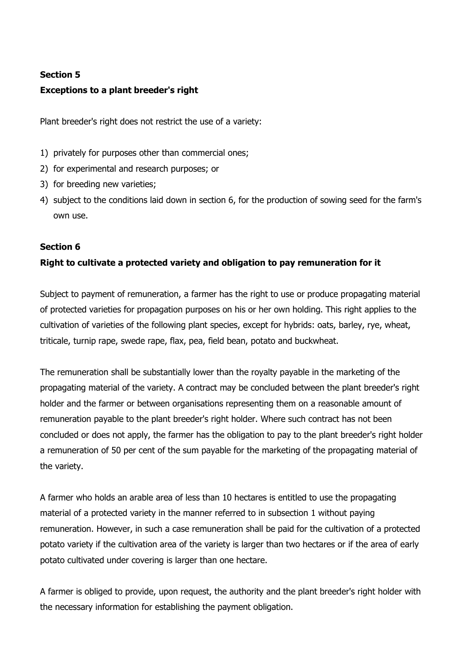### **Section 5**

### **Exceptions to a plant breeder's right**

Plant breeder's right does not restrict the use of a variety:

- 1) privately for purposes other than commercial ones;
- 2) for experimental and research purposes; or
- 3) for breeding new varieties;
- 4) subject to the conditions laid down in section 6, for the production of sowing seed for the farm's own use.

### **Section 6**

### **Right to cultivate a protected variety and obligation to pay remuneration for it**

Subject to payment of remuneration, a farmer has the right to use or produce propagating material of protected varieties for propagation purposes on his or her own holding. This right applies to the cultivation of varieties of the following plant species, except for hybrids: oats, barley, rye, wheat, triticale, turnip rape, swede rape, flax, pea, field bean, potato and buckwheat.

The remuneration shall be substantially lower than the royalty payable in the marketing of the propagating material of the variety. A contract may be concluded between the plant breeder's right holder and the farmer or between organisations representing them on a reasonable amount of remuneration payable to the plant breeder's right holder. Where such contract has not been concluded or does not apply, the farmer has the obligation to pay to the plant breeder's right holder a remuneration of 50 per cent of the sum payable for the marketing of the propagating material of the variety.

A farmer who holds an arable area of less than 10 hectares is entitled to use the propagating material of a protected variety in the manner referred to in subsection 1 without paying remuneration. However, in such a case remuneration shall be paid for the cultivation of a protected potato variety if the cultivation area of the variety is larger than two hectares or if the area of early potato cultivated under covering is larger than one hectare.

A farmer is obliged to provide, upon request, the authority and the plant breeder's right holder with the necessary information for establishing the payment obligation.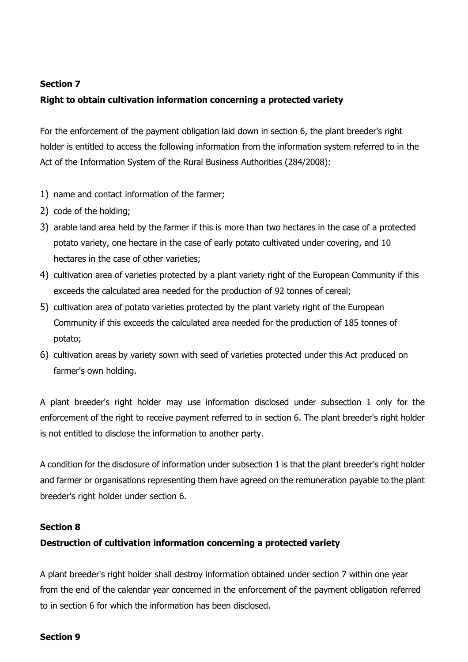### **Section 7**

### **Right to obtain cultivation information concerning a protected variety**

For the enforcement of the payment obligation laid down in section 6, the plant breeder's right holder is entitled to access the following information from the information system referred to in the Act of the Information System of the Rural Business Authorities (284/2008):

- 1) name and contact information of the farmer;
- 2) code of the holding;
- 3) arable land area held by the farmer if this is more than two hectares in the case of a protected potato variety, one hectare in the case of early potato cultivated under covering, and 10 hectares in the case of other varieties;
- 4) cultivation area of varieties protected by a plant variety right of the European Community if this exceeds the calculated area needed for the production of 92 tonnes of cereal;
- 5) cultivation area of potato varieties protected by the plant variety right of the European Community if this exceeds the calculated area needed for the production of 185 tonnes of potato;
- 6) cultivation areas by variety sown with seed of varieties protected under this Act produced on farmer's own holding.

A plant breeder's right holder may use information disclosed under subsection 1 only for the enforcement of the right to receive payment referred to in section 6. The plant breeder's right holder is not entitled to disclose the information to another party.

A condition for the disclosure of information under subsection 1 is that the plant breeder's right holder and farmer or organisations representing them have agreed on the remuneration payable to the plant breeder's right holder under section 6.

### **Section 8**

### **Destruction of cultivation information concerning a protected variety**

A plant breeder's right holder shall destroy information obtained under section 7 within one year from the end of the calendar year concerned in the enforcement of the payment obligation referred to in section 6 for which the information has been disclosed.

### **Section 9**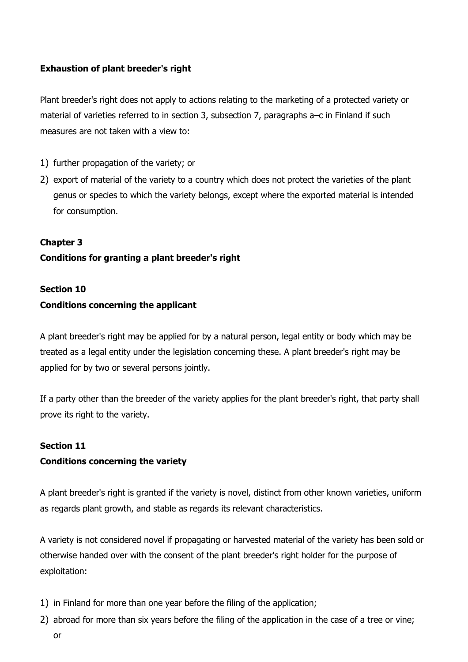### **Exhaustion of plant breeder's right**

Plant breeder's right does not apply to actions relating to the marketing of a protected variety or material of varieties referred to in section 3, subsection 7, paragraphs a–c in Finland if such measures are not taken with a view to:

- 1) further propagation of the variety; or
- 2) export of material of the variety to a country which does not protect the varieties of the plant genus or species to which the variety belongs, except where the exported material is intended for consumption.

### **Chapter 3**

### **Conditions for granting a plant breeder's right**

#### **Section 10**

### **Conditions concerning the applicant**

A plant breeder's right may be applied for by a natural person, legal entity or body which may be treated as a legal entity under the legislation concerning these. A plant breeder's right may be applied for by two or several persons jointly.

If a party other than the breeder of the variety applies for the plant breeder's right, that party shall prove its right to the variety.

### **Section 11**

### **Conditions concerning the variety**

A plant breeder's right is granted if the variety is novel, distinct from other known varieties, uniform as regards plant growth, and stable as regards its relevant characteristics.

A variety is not considered novel if propagating or harvested material of the variety has been sold or otherwise handed over with the consent of the plant breeder's right holder for the purpose of exploitation:

- 1) in Finland for more than one year before the filing of the application;
- 2) abroad for more than six years before the filing of the application in the case of a tree or vine; or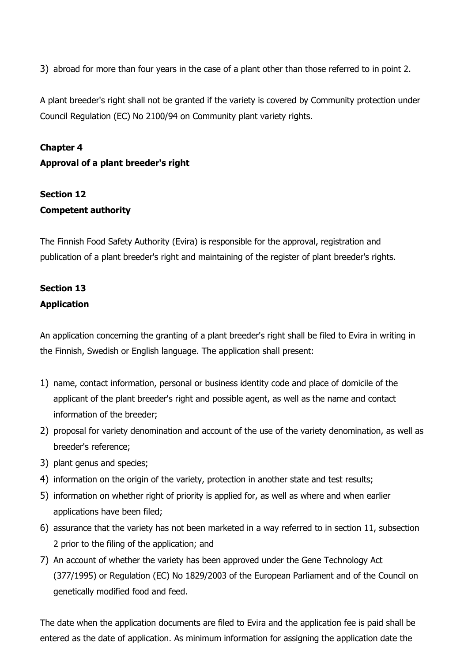3) abroad for more than four years in the case of a plant other than those referred to in point 2.

A plant breeder's right shall not be granted if the variety is covered by Community protection under Council Regulation (EC) No 2100/94 on Community plant variety rights.

## **Chapter 4 Approval of a plant breeder's right**

## **Section 12 Competent authority**

The Finnish Food Safety Authority (Evira) is responsible for the approval, registration and publication of a plant breeder's right and maintaining of the register of plant breeder's rights.

## **Section 13 Application**

An application concerning the granting of a plant breeder's right shall be filed to Evira in writing in the Finnish, Swedish or English language. The application shall present:

- 1) name, contact information, personal or business identity code and place of domicile of the applicant of the plant breeder's right and possible agent, as well as the name and contact information of the breeder;
- 2) proposal for variety denomination and account of the use of the variety denomination, as well as breeder's reference;
- 3) plant genus and species;
- 4) information on the origin of the variety, protection in another state and test results;
- 5) information on whether right of priority is applied for, as well as where and when earlier applications have been filed;
- 6) assurance that the variety has not been marketed in a way referred to in section 11, subsection 2 prior to the filing of the application; and
- 7) An account of whether the variety has been approved under the Gene Technology Act (377/1995) or Regulation (EC) No 1829/2003 of the European Parliament and of the Council on genetically modified food and feed.

The date when the application documents are filed to Evira and the application fee is paid shall be entered as the date of application. As minimum information for assigning the application date the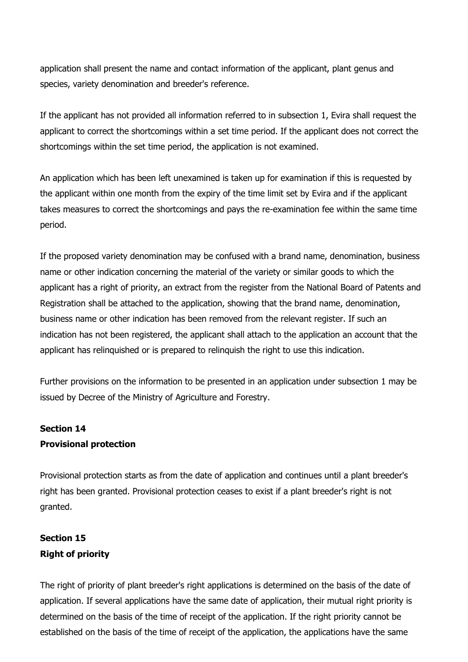application shall present the name and contact information of the applicant, plant genus and species, variety denomination and breeder's reference.

If the applicant has not provided all information referred to in subsection 1, Evira shall request the applicant to correct the shortcomings within a set time period. If the applicant does not correct the shortcomings within the set time period, the application is not examined.

An application which has been left unexamined is taken up for examination if this is requested by the applicant within one month from the expiry of the time limit set by Evira and if the applicant takes measures to correct the shortcomings and pays the re-examination fee within the same time period.

If the proposed variety denomination may be confused with a brand name, denomination, business name or other indication concerning the material of the variety or similar goods to which the applicant has a right of priority, an extract from the register from the National Board of Patents and Registration shall be attached to the application, showing that the brand name, denomination, business name or other indication has been removed from the relevant register. If such an indication has not been registered, the applicant shall attach to the application an account that the applicant has relinquished or is prepared to relinquish the right to use this indication.

Further provisions on the information to be presented in an application under subsection 1 may be issued by Decree of the Ministry of Agriculture and Forestry.

## **Section 14 Provisional protection**

Provisional protection starts as from the date of application and continues until a plant breeder's right has been granted. Provisional protection ceases to exist if a plant breeder's right is not granted.

## **Section 15 Right of priority**

The right of priority of plant breeder's right applications is determined on the basis of the date of application. If several applications have the same date of application, their mutual right priority is determined on the basis of the time of receipt of the application. If the right priority cannot be established on the basis of the time of receipt of the application, the applications have the same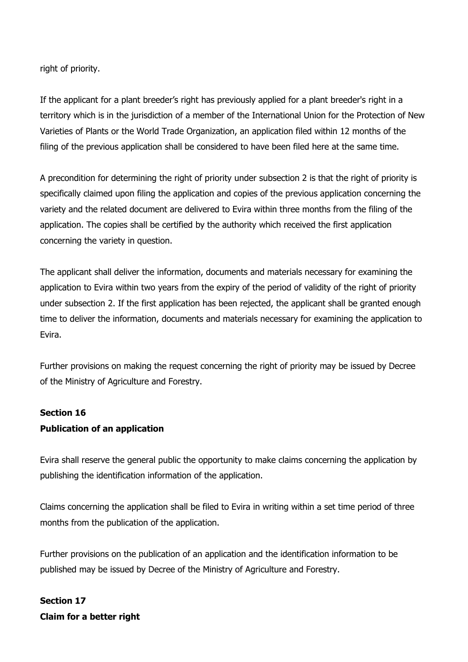right of priority.

If the applicant for a plant breeder's right has previously applied for a plant breeder's right in a territory which is in the jurisdiction of a member of the International Union for the Protection of New Varieties of Plants or the World Trade Organization, an application filed within 12 months of the filing of the previous application shall be considered to have been filed here at the same time.

A precondition for determining the right of priority under subsection 2 is that the right of priority is specifically claimed upon filing the application and copies of the previous application concerning the variety and the related document are delivered to Evira within three months from the filing of the application. The copies shall be certified by the authority which received the first application concerning the variety in question.

The applicant shall deliver the information, documents and materials necessary for examining the application to Evira within two years from the expiry of the period of validity of the right of priority under subsection 2. If the first application has been rejected, the applicant shall be granted enough time to deliver the information, documents and materials necessary for examining the application to Evira.

Further provisions on making the request concerning the right of priority may be issued by Decree of the Ministry of Agriculture and Forestry.

### **Section 16**

### **Publication of an application**

Evira shall reserve the general public the opportunity to make claims concerning the application by publishing the identification information of the application.

Claims concerning the application shall be filed to Evira in writing within a set time period of three months from the publication of the application.

Further provisions on the publication of an application and the identification information to be published may be issued by Decree of the Ministry of Agriculture and Forestry.

**Section 17 Claim for a better right**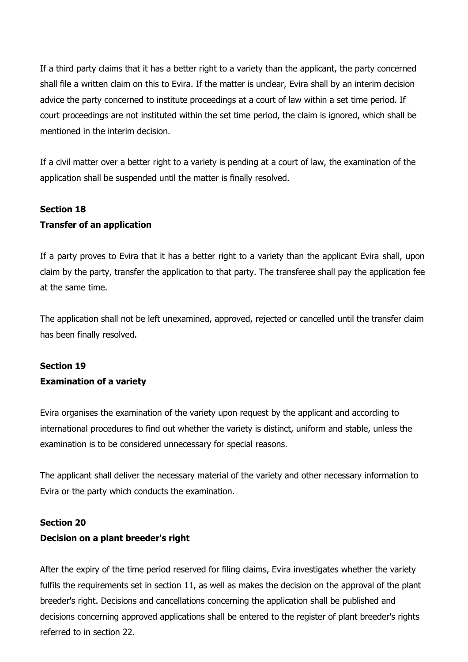If a third party claims that it has a better right to a variety than the applicant, the party concerned shall file a written claim on this to Evira. If the matter is unclear, Evira shall by an interim decision advice the party concerned to institute proceedings at a court of law within a set time period. If court proceedings are not instituted within the set time period, the claim is ignored, which shall be mentioned in the interim decision.

If a civil matter over a better right to a variety is pending at a court of law, the examination of the application shall be suspended until the matter is finally resolved.

### **Section 18**

### **Transfer of an application**

If a party proves to Evira that it has a better right to a variety than the applicant Evira shall, upon claim by the party, transfer the application to that party. The transferee shall pay the application fee at the same time.

The application shall not be left unexamined, approved, rejected or cancelled until the transfer claim has been finally resolved.

## **Section 19 Examination of a variety**

Evira organises the examination of the variety upon request by the applicant and according to international procedures to find out whether the variety is distinct, uniform and stable, unless the examination is to be considered unnecessary for special reasons.

The applicant shall deliver the necessary material of the variety and other necessary information to Evira or the party which conducts the examination.

### **Section 20**

### **Decision on a plant breeder's right**

After the expiry of the time period reserved for filing claims, Evira investigates whether the variety fulfils the requirements set in section 11, as well as makes the decision on the approval of the plant breeder's right. Decisions and cancellations concerning the application shall be published and decisions concerning approved applications shall be entered to the register of plant breeder's rights referred to in section 22.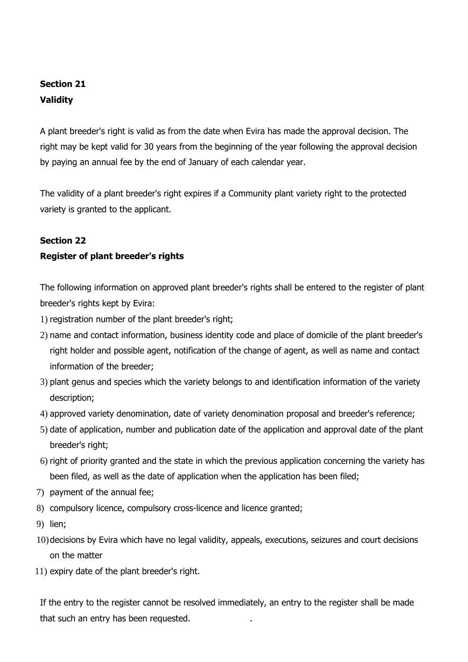## **Section 21 Validity**

A plant breeder's right is valid as from the date when Evira has made the approval decision. The right may be kept valid for 30 years from the beginning of the year following the approval decision by paying an annual fee by the end of January of each calendar year.

The validity of a plant breeder's right expires if a Community plant variety right to the protected variety is granted to the applicant.

### **Section 22**

### **Register of plant breeder's rights**

The following information on approved plant breeder's rights shall be entered to the register of plant breeder's rights kept by Evira:

- 1) registration number of the plant breeder's right;
- 2) name and contact information, business identity code and place of domicile of the plant breeder's right holder and possible agent, notification of the change of agent, as well as name and contact information of the breeder;
- 3) plant genus and species which the variety belongs to and identification information of the variety description;
- 4) approved variety denomination, date of variety denomination proposal and breeder's reference;
- 5) date of application, number and publication date of the application and approval date of the plant breeder's right;
- 6) right of priority granted and the state in which the previous application concerning the variety has been filed, as well as the date of application when the application has been filed;
- 7) payment of the annual fee;
- 8) compulsory licence, compulsory cross-licence and licence granted;
- 9) lien;
- 10)decisions by Evira which have no legal validity, appeals, executions, seizures and court decisions on the matter
- 11) expiry date of the plant breeder's right.

If the entry to the register cannot be resolved immediately, an entry to the register shall be made that such an entry has been requested. .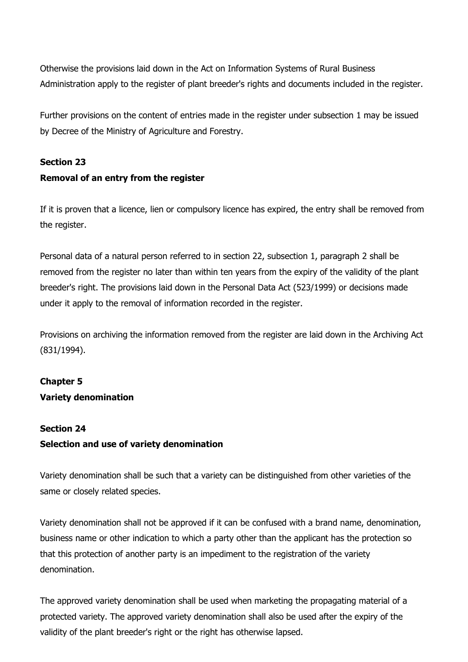Otherwise the provisions laid down in the Act on Information Systems of Rural Business Administration apply to the register of plant breeder's rights and documents included in the register.

Further provisions on the content of entries made in the register under subsection 1 may be issued by Decree of the Ministry of Agriculture and Forestry.

### **Section 23 Removal of an entry from the register**

If it is proven that a licence, lien or compulsory licence has expired, the entry shall be removed from the register.

Personal data of a natural person referred to in section 22, subsection 1, paragraph 2 shall be removed from the register no later than within ten years from the expiry of the validity of the plant breeder's right. The provisions laid down in the Personal Data Act (523/1999) or decisions made under it apply to the removal of information recorded in the register.

Provisions on archiving the information removed from the register are laid down in the Archiving Act (831/1994).

## **Chapter 5 Variety denomination**

### **Section 24**

### **Selection and use of variety denomination**

Variety denomination shall be such that a variety can be distinguished from other varieties of the same or closely related species.

Variety denomination shall not be approved if it can be confused with a brand name, denomination, business name or other indication to which a party other than the applicant has the protection so that this protection of another party is an impediment to the registration of the variety denomination.

The approved variety denomination shall be used when marketing the propagating material of a protected variety. The approved variety denomination shall also be used after the expiry of the validity of the plant breeder's right or the right has otherwise lapsed.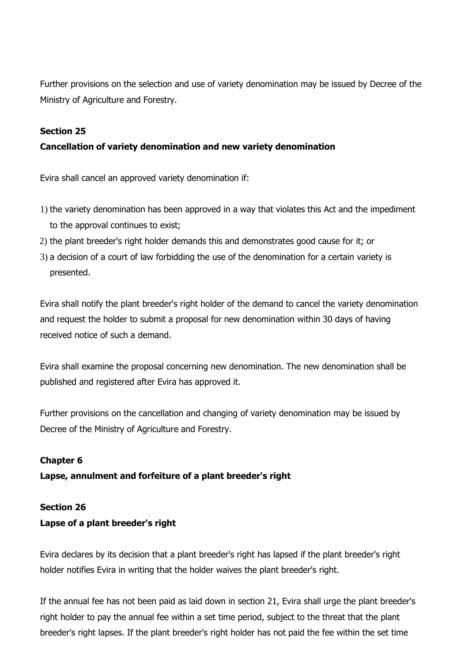Further provisions on the selection and use of variety denomination may be issued by Decree of the Ministry of Agriculture and Forestry.

### **Section 25**

### **Cancellation of variety denomination and new variety denomination**

Evira shall cancel an approved variety denomination if:

- 1) the variety denomination has been approved in a way that violates this Act and the impediment to the approval continues to exist;
- 2) the plant breeder's right holder demands this and demonstrates good cause for it; or
- 3) a decision of a court of law forbidding the use of the denomination for a certain variety is presented.

Evira shall notify the plant breeder's right holder of the demand to cancel the variety denomination and request the holder to submit a proposal for new denomination within 30 days of having received notice of such a demand.

Evira shall examine the proposal concerning new denomination. The new denomination shall be published and registered after Evira has approved it.

Further provisions on the cancellation and changing of variety denomination may be issued by Decree of the Ministry of Agriculture and Forestry.

### **Chapter 6**

### **Lapse, annulment and forfeiture of a plant breeder's right**

#### **Section 26**

### **Lapse of a plant breeder's right**

Evira declares by its decision that a plant breeder's right has lapsed if the plant breeder's right holder notifies Evira in writing that the holder waives the plant breeder's right.

If the annual fee has not been paid as laid down in section 21, Evira shall urge the plant breeder's right holder to pay the annual fee within a set time period, subject to the threat that the plant breeder's right lapses. If the plant breeder's right holder has not paid the fee within the set time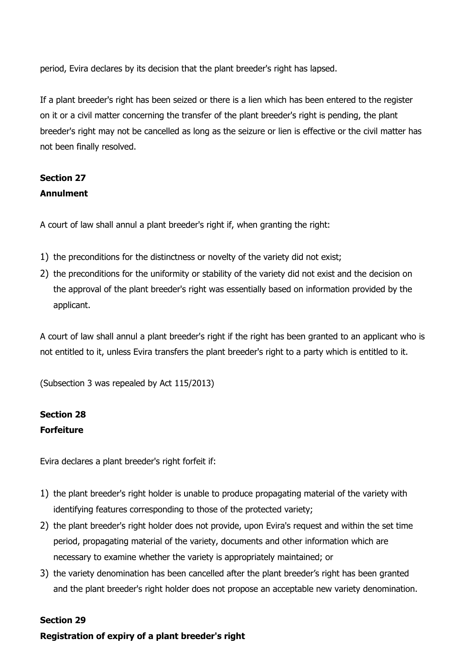period, Evira declares by its decision that the plant breeder's right has lapsed.

If a plant breeder's right has been seized or there is a lien which has been entered to the register on it or a civil matter concerning the transfer of the plant breeder's right is pending, the plant breeder's right may not be cancelled as long as the seizure or lien is effective or the civil matter has not been finally resolved.

## **Section 27 Annulment**

A court of law shall annul a plant breeder's right if, when granting the right:

- 1) the preconditions for the distinctness or novelty of the variety did not exist;
- 2) the preconditions for the uniformity or stability of the variety did not exist and the decision on the approval of the plant breeder's right was essentially based on information provided by the applicant.

A court of law shall annul a plant breeder's right if the right has been granted to an applicant who is not entitled to it, unless Evira transfers the plant breeder's right to a party which is entitled to it.

(Subsection 3 was repealed by Act 115/2013)

### **Section 28 Forfeiture**

Evira declares a plant breeder's right forfeit if:

- 1) the plant breeder's right holder is unable to produce propagating material of the variety with identifying features corresponding to those of the protected variety;
- 2) the plant breeder's right holder does not provide, upon Evira's request and within the set time period, propagating material of the variety, documents and other information which are necessary to examine whether the variety is appropriately maintained; or
- 3) the variety denomination has been cancelled after the plant breeder's right has been granted and the plant breeder's right holder does not propose an acceptable new variety denomination.

### **Section 29**

**Registration of expiry of a plant breeder's right**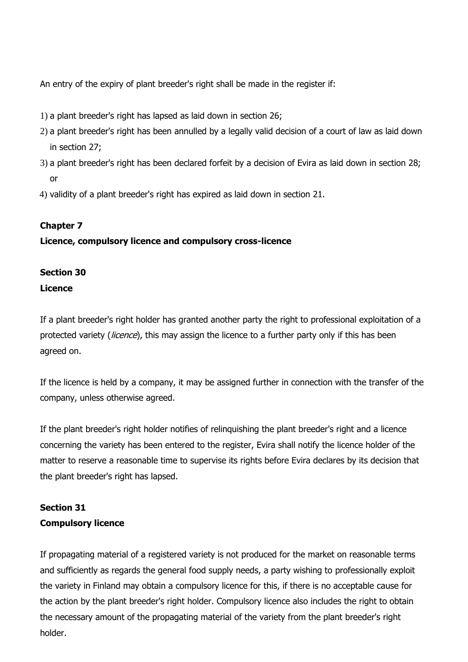An entry of the expiry of plant breeder's right shall be made in the register if:

- 1) a plant breeder's right has lapsed as laid down in section 26;
- 2) a plant breeder's right has been annulled by a legally valid decision of a court of law as laid down in section 27;
- 3) a plant breeder's right has been declared forfeit by a decision of Evira as laid down in section 28; or
- 4) validity of a plant breeder's right has expired as laid down in section 21.

### **Chapter 7**

### **Licence, compulsory licence and compulsory cross-licence**

### **Section 30 Licence**

If a plant breeder's right holder has granted another party the right to professional exploitation of a protected variety (*licence*), this may assign the licence to a further party only if this has been agreed on.

If the licence is held by a company, it may be assigned further in connection with the transfer of the company, unless otherwise agreed.

If the plant breeder's right holder notifies of relinquishing the plant breeder's right and a licence concerning the variety has been entered to the register, Evira shall notify the licence holder of the matter to reserve a reasonable time to supervise its rights before Evira declares by its decision that the plant breeder's right has lapsed.

### **Section 31 Compulsory licence**

If propagating material of a registered variety is not produced for the market on reasonable terms and sufficiently as regards the general food supply needs, a party wishing to professionally exploit the variety in Finland may obtain a compulsory licence for this, if there is no acceptable cause for the action by the plant breeder's right holder. Compulsory licence also includes the right to obtain the necessary amount of the propagating material of the variety from the plant breeder's right holder.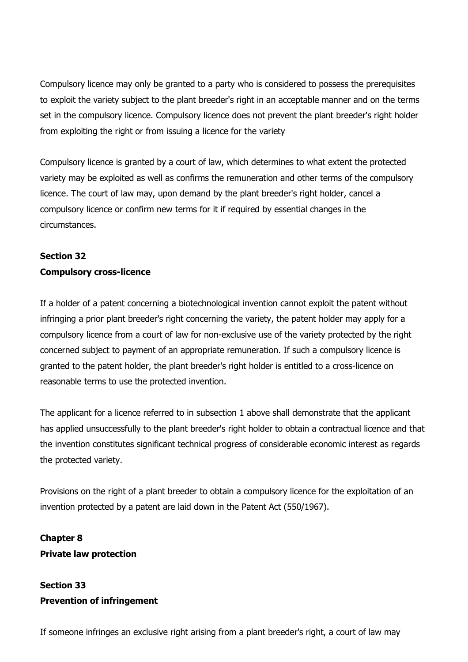Compulsory licence may only be granted to a party who is considered to possess the prerequisites to exploit the variety subject to the plant breeder's right in an acceptable manner and on the terms set in the compulsory licence. Compulsory licence does not prevent the plant breeder's right holder from exploiting the right or from issuing a licence for the variety

Compulsory licence is granted by a court of law, which determines to what extent the protected variety may be exploited as well as confirms the remuneration and other terms of the compulsory licence. The court of law may, upon demand by the plant breeder's right holder, cancel a compulsory licence or confirm new terms for it if required by essential changes in the circumstances.

## **Section 32 Compulsory cross-licence**

If a holder of a patent concerning a biotechnological invention cannot exploit the patent without infringing a prior plant breeder's right concerning the variety, the patent holder may apply for a compulsory licence from a court of law for non-exclusive use of the variety protected by the right concerned subject to payment of an appropriate remuneration. If such a compulsory licence is granted to the patent holder, the plant breeder's right holder is entitled to a cross-licence on reasonable terms to use the protected invention.

The applicant for a licence referred to in subsection 1 above shall demonstrate that the applicant has applied unsuccessfully to the plant breeder's right holder to obtain a contractual licence and that the invention constitutes significant technical progress of considerable economic interest as regards the protected variety.

Provisions on the right of a plant breeder to obtain a compulsory licence for the exploitation of an invention protected by a patent are laid down in the Patent Act (550/1967).

**Chapter 8 Private law protection**

## **Section 33 Prevention of infringement**

If someone infringes an exclusive right arising from a plant breeder's right, a court of law may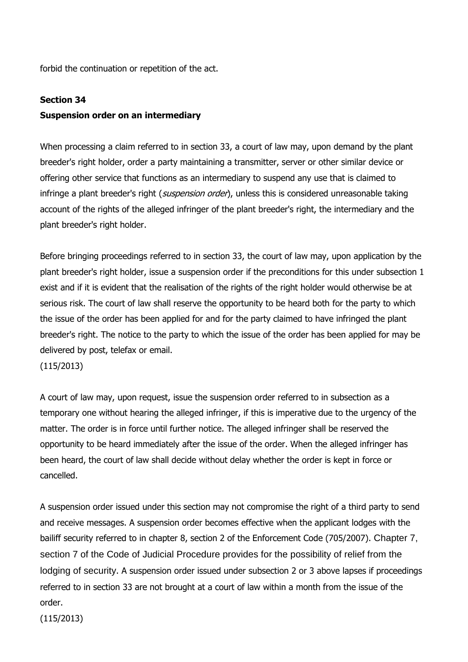forbid the continuation or repetition of the act.

#### **Section 34**

### **Suspension order on an intermediary**

When processing a claim referred to in section 33, a court of law may, upon demand by the plant breeder's right holder, order a party maintaining a transmitter, server or other similar device or offering other service that functions as an intermediary to suspend any use that is claimed to infringe a plant breeder's right (suspension order), unless this is considered unreasonable taking account of the rights of the alleged infringer of the plant breeder's right, the intermediary and the plant breeder's right holder.

Before bringing proceedings referred to in section 33, the court of law may, upon application by the plant breeder's right holder, issue a suspension order if the preconditions for this under subsection 1 exist and if it is evident that the realisation of the rights of the right holder would otherwise be at serious risk. The court of law shall reserve the opportunity to be heard both for the party to which the issue of the order has been applied for and for the party claimed to have infringed the plant breeder's right. The notice to the party to which the issue of the order has been applied for may be delivered by post, telefax or email.

(115/2013)

A court of law may, upon request, issue the suspension order referred to in subsection as a temporary one without hearing the alleged infringer, if this is imperative due to the urgency of the matter. The order is in force until further notice. The alleged infringer shall be reserved the opportunity to be heard immediately after the issue of the order. When the alleged infringer has been heard, the court of law shall decide without delay whether the order is kept in force or cancelled.

A suspension order issued under this section may not compromise the right of a third party to send and receive messages. A suspension order becomes effective when the applicant lodges with the bailiff security referred to in chapter 8, section 2 of the Enforcement Code (705/2007). Chapter 7, section 7 of the Code of Judicial Procedure provides for the possibility of relief from the lodging of security. A suspension order issued under subsection 2 or 3 above lapses if proceedings referred to in section 33 are not brought at a court of law within a month from the issue of the order.

(115/2013)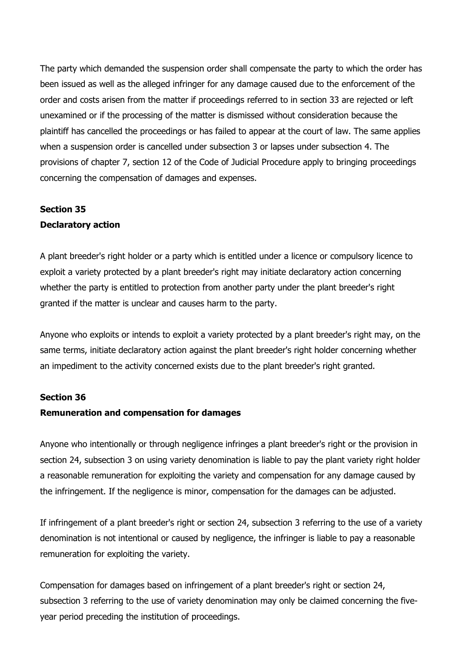The party which demanded the suspension order shall compensate the party to which the order has been issued as well as the alleged infringer for any damage caused due to the enforcement of the order and costs arisen from the matter if proceedings referred to in section 33 are rejected or left unexamined or if the processing of the matter is dismissed without consideration because the plaintiff has cancelled the proceedings or has failed to appear at the court of law. The same applies when a suspension order is cancelled under subsection 3 or lapses under subsection 4. The provisions of chapter 7, section 12 of the Code of Judicial Procedure apply to bringing proceedings concerning the compensation of damages and expenses.

### **Section 35**

#### **Declaratory action**

A plant breeder's right holder or a party which is entitled under a licence or compulsory licence to exploit a variety protected by a plant breeder's right may initiate declaratory action concerning whether the party is entitled to protection from another party under the plant breeder's right granted if the matter is unclear and causes harm to the party.

Anyone who exploits or intends to exploit a variety protected by a plant breeder's right may, on the same terms, initiate declaratory action against the plant breeder's right holder concerning whether an impediment to the activity concerned exists due to the plant breeder's right granted.

#### **Section 36**

### **Remuneration and compensation for damages**

Anyone who intentionally or through negligence infringes a plant breeder's right or the provision in section 24, subsection 3 on using variety denomination is liable to pay the plant variety right holder a reasonable remuneration for exploiting the variety and compensation for any damage caused by the infringement. If the negligence is minor, compensation for the damages can be adjusted.

If infringement of a plant breeder's right or section 24, subsection 3 referring to the use of a variety denomination is not intentional or caused by negligence, the infringer is liable to pay a reasonable remuneration for exploiting the variety.

Compensation for damages based on infringement of a plant breeder's right or section 24, subsection 3 referring to the use of variety denomination may only be claimed concerning the fiveyear period preceding the institution of proceedings.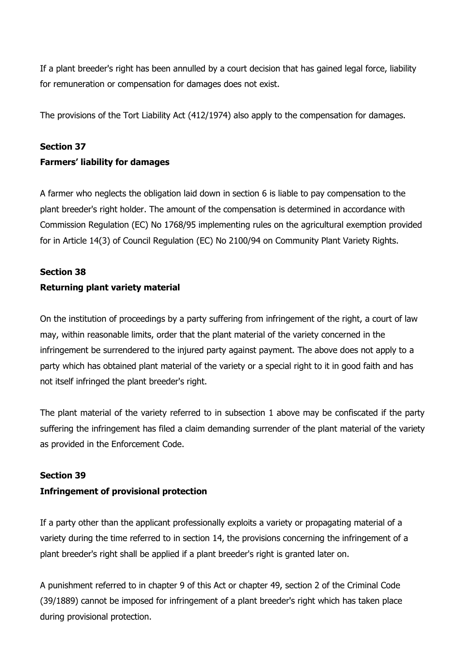If a plant breeder's right has been annulled by a court decision that has gained legal force, liability for remuneration or compensation for damages does not exist.

The provisions of the Tort Liability Act (412/1974) also apply to the compensation for damages.

### **Section 37**

### **Farmers' liability for damages**

A farmer who neglects the obligation laid down in section 6 is liable to pay compensation to the plant breeder's right holder. The amount of the compensation is determined in accordance with Commission Regulation (EC) No 1768/95 implementing rules on the agricultural exemption provided for in Article 14(3) of Council Regulation (EC) No 2100/94 on Community Plant Variety Rights.

## **Section 38 Returning plant variety material**

On the institution of proceedings by a party suffering from infringement of the right, a court of law may, within reasonable limits, order that the plant material of the variety concerned in the infringement be surrendered to the injured party against payment. The above does not apply to a party which has obtained plant material of the variety or a special right to it in good faith and has not itself infringed the plant breeder's right.

The plant material of the variety referred to in subsection 1 above may be confiscated if the party suffering the infringement has filed a claim demanding surrender of the plant material of the variety as provided in the Enforcement Code.

### **Section 39**

### **Infringement of provisional protection**

If a party other than the applicant professionally exploits a variety or propagating material of a variety during the time referred to in section 14, the provisions concerning the infringement of a plant breeder's right shall be applied if a plant breeder's right is granted later on.

A punishment referred to in chapter 9 of this Act or chapter 49, section 2 of the Criminal Code (39/1889) cannot be imposed for infringement of a plant breeder's right which has taken place during provisional protection.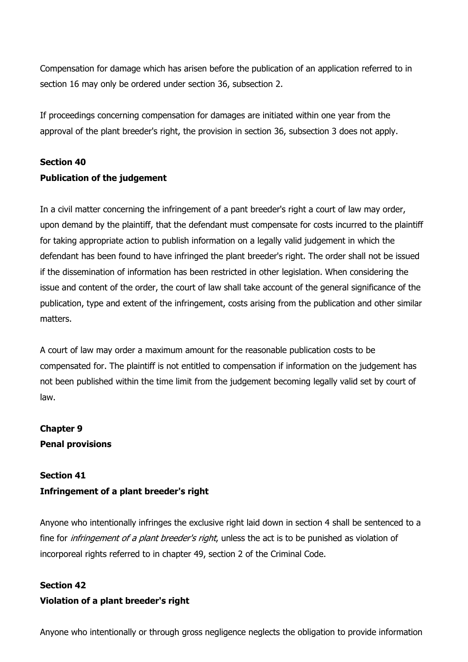Compensation for damage which has arisen before the publication of an application referred to in section 16 may only be ordered under section 36, subsection 2.

If proceedings concerning compensation for damages are initiated within one year from the approval of the plant breeder's right, the provision in section 36, subsection 3 does not apply.

## **Section 40 Publication of the judgement**

In a civil matter concerning the infringement of a pant breeder's right a court of law may order, upon demand by the plaintiff, that the defendant must compensate for costs incurred to the plaintiff for taking appropriate action to publish information on a legally valid judgement in which the defendant has been found to have infringed the plant breeder's right. The order shall not be issued if the dissemination of information has been restricted in other legislation. When considering the issue and content of the order, the court of law shall take account of the general significance of the publication, type and extent of the infringement, costs arising from the publication and other similar matters.

A court of law may order a maximum amount for the reasonable publication costs to be compensated for. The plaintiff is not entitled to compensation if information on the judgement has not been published within the time limit from the judgement becoming legally valid set by court of law.

## **Chapter 9 Penal provisions**

### **Section 41**

### **Infringement of a plant breeder's right**

Anyone who intentionally infringes the exclusive right laid down in section 4 shall be sentenced to a fine for *infringement of a plant breeder's right*, unless the act is to be punished as violation of incorporeal rights referred to in chapter 49, section 2 of the Criminal Code.

### **Section 42**

### **Violation of a plant breeder's right**

Anyone who intentionally or through gross negligence neglects the obligation to provide information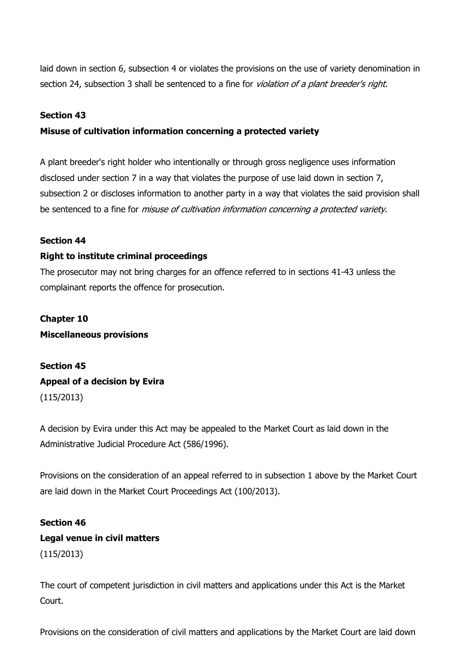laid down in section 6, subsection 4 or violates the provisions on the use of variety denomination in section 24, subsection 3 shall be sentenced to a fine for *violation of a plant breeder's right*.

### **Section 43**

#### **Misuse of cultivation information concerning a protected variety**

A plant breeder's right holder who intentionally or through gross negligence uses information disclosed under section 7 in a way that violates the purpose of use laid down in section 7, subsection 2 or discloses information to another party in a way that violates the said provision shall be sentenced to a fine for *misuse of cultivation information concerning a protected variety*.

#### **Section 44**

#### **Right to institute criminal proceedings**

The prosecutor may not bring charges for an offence referred to in sections 41-43 unless the complainant reports the offence for prosecution.

**Chapter 10 Miscellaneous provisions**

**Section 45 Appeal of a decision by Evira** (115/2013)

A decision by Evira under this Act may be appealed to the Market Court as laid down in the Administrative Judicial Procedure Act (586/1996).

Provisions on the consideration of an appeal referred to in subsection 1 above by the Market Court are laid down in the Market Court Proceedings Act (100/2013).

## **Section 46 Legal venue in civil matters** (115/2013)

The court of competent jurisdiction in civil matters and applications under this Act is the Market Court.

Provisions on the consideration of civil matters and applications by the Market Court are laid down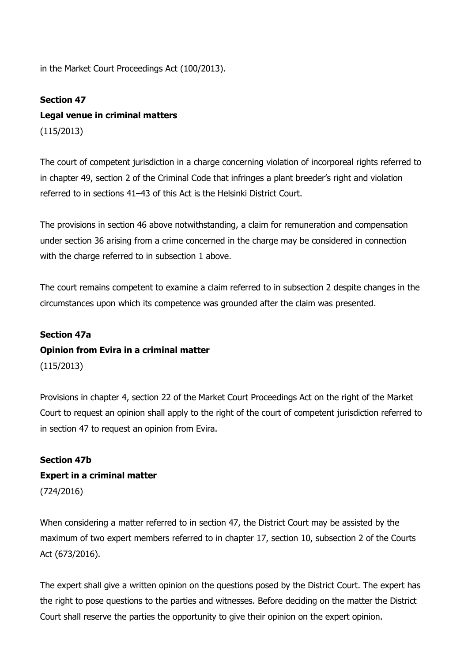in the Market Court Proceedings Act (100/2013).

### **Section 47**

### **Legal venue in criminal matters**

(115/2013)

The court of competent jurisdiction in a charge concerning violation of incorporeal rights referred to in chapter 49, section 2 of the Criminal Code that infringes a plant breeder's right and violation referred to in sections 41–43 of this Act is the Helsinki District Court.

The provisions in section 46 above notwithstanding, a claim for remuneration and compensation under section 36 arising from a crime concerned in the charge may be considered in connection with the charge referred to in subsection 1 above.

The court remains competent to examine a claim referred to in subsection 2 despite changes in the circumstances upon which its competence was grounded after the claim was presented.

#### **Section 47a**

### **Opinion from Evira in a criminal matter**

(115/2013)

Provisions in chapter 4, section 22 of the Market Court Proceedings Act on the right of the Market Court to request an opinion shall apply to the right of the court of competent jurisdiction referred to in section 47 to request an opinion from Evira.

## **Section 47b Expert in a criminal matter** (724/2016)

When considering a matter referred to in section 47, the District Court may be assisted by the maximum of two expert members referred to in chapter 17, section 10, subsection 2 of the Courts Act (673/2016).

The expert shall give a written opinion on the questions posed by the District Court. The expert has the right to pose questions to the parties and witnesses. Before deciding on the matter the District Court shall reserve the parties the opportunity to give their opinion on the expert opinion.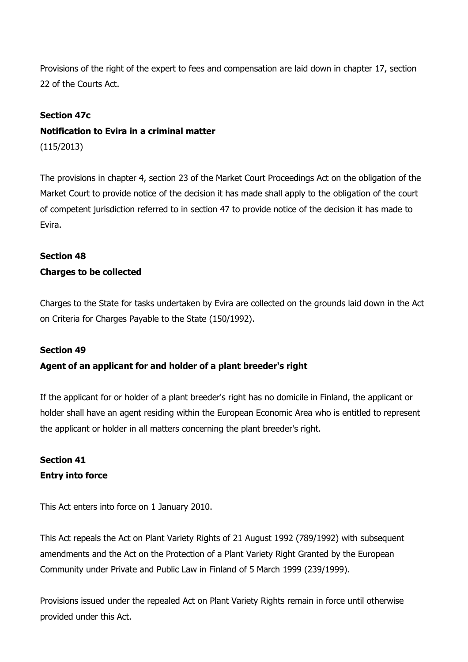Provisions of the right of the expert to fees and compensation are laid down in chapter 17, section 22 of the Courts Act.

### **Section 47c**

# **Notification to Evira in a criminal matter**

(115/2013)

The provisions in chapter 4, section 23 of the Market Court Proceedings Act on the obligation of the Market Court to provide notice of the decision it has made shall apply to the obligation of the court of competent jurisdiction referred to in section 47 to provide notice of the decision it has made to Evira.

## **Section 48 Charges to be collected**

Charges to the State for tasks undertaken by Evira are collected on the grounds laid down in the Act on Criteria for Charges Payable to the State (150/1992).

### **Section 49**

### **Agent of an applicant for and holder of a plant breeder's right**

If the applicant for or holder of a plant breeder's right has no domicile in Finland, the applicant or holder shall have an agent residing within the European Economic Area who is entitled to represent the applicant or holder in all matters concerning the plant breeder's right.

### **Section 41 Entry into force**

This Act enters into force on 1 January 2010.

This Act repeals the Act on Plant Variety Rights of 21 August 1992 (789/1992) with subsequent amendments and the Act on the Protection of a Plant Variety Right Granted by the European Community under Private and Public Law in Finland of 5 March 1999 (239/1999).

Provisions issued under the repealed Act on Plant Variety Rights remain in force until otherwise provided under this Act.